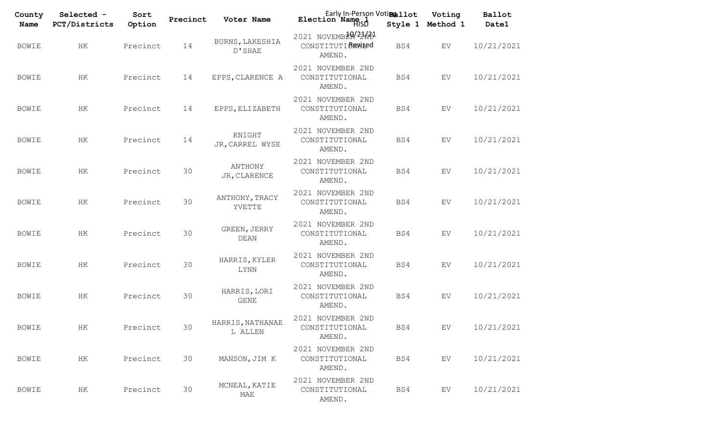| County<br>Name | Selected -<br>PCT/Districts | Sort<br>Option | Precinct | Voter Name                   | Early In-Person Votinallot<br>Election Name 1      | Style 1 | Voting<br>Method 1 | Ballot<br>Date1 |
|----------------|-----------------------------|----------------|----------|------------------------------|----------------------------------------------------|---------|--------------------|-----------------|
| <b>BOWIE</b>   | HК                          | Precinct       | 14       | BURNS, LAKESHIA<br>D'SHAE    | 2021 NOVEMBER 22177<br>CONSTITUTIORWised<br>AMEND. | BS4     | EV                 | 10/21/2021      |
| <b>BOWIE</b>   | HК                          | Precinct       | 14       | EPPS, CLARENCE A             | 2021 NOVEMBER 2ND<br>CONSTITUTIONAL<br>AMEND.      | BS4     | EV                 | 10/21/2021      |
| <b>BOWIE</b>   | HК                          | Precinct       | 14       | EPPS, ELIZABETH              | 2021 NOVEMBER 2ND<br>CONSTITUTIONAL<br>AMEND.      | BS4     | EV                 | 10/21/2021      |
| <b>BOWIE</b>   | $\rm{HK}$                   | Precinct       | 14       | KNIGHT<br>JR, CARREL WYSE    | 2021 NOVEMBER 2ND<br>CONSTITUTIONAL<br>AMEND.      | BS4     | ${\rm EV}$         | 10/21/2021      |
| <b>BOWIE</b>   | HК                          | Precinct       | 30       | ANTHONY<br>JR, CLARENCE      | 2021 NOVEMBER 2ND<br>CONSTITUTIONAL<br>AMEND.      | BS4     | EV                 | 10/21/2021      |
| <b>BOWIE</b>   | HK                          | Precinct       | 30       | ANTHONY, TRACY<br>YVETTE     | 2021 NOVEMBER 2ND<br>CONSTITUTIONAL<br>AMEND.      | BS4     | EV                 | 10/21/2021      |
| <b>BOWIE</b>   | $\rm{HK}$                   | Precinct       | 30       | GREEN, JERRY<br><b>DEAN</b>  | 2021 NOVEMBER 2ND<br>CONSTITUTIONAL<br>AMEND.      | BS4     | EV                 | 10/21/2021      |
| <b>BOWIE</b>   | $\rm{HK}$                   | Precinct       | 30       | HARRIS, KYLER<br><b>LYNN</b> | 2021 NOVEMBER 2ND<br>CONSTITUTIONAL<br>AMEND.      | BS4     | EV                 | 10/21/2021      |
| <b>BOWIE</b>   | $\rm{HK}$                   | Precinct       | 30       | HARRIS, LORI<br><b>GENE</b>  | 2021 NOVEMBER 2ND<br>CONSTITUTIONAL<br>AMEND.      | BS4     | ${\rm EV}$         | 10/21/2021      |
| <b>BOWIE</b>   | HК                          | Precinct       | 30       | HARRIS, NATHANAE<br>L ALLEN  | 2021 NOVEMBER 2ND<br>CONSTITUTIONAL<br>AMEND.      | BS4     | EV                 | 10/21/2021      |
| BOWIE          | HK                          | Precinct       | 30       | MANSON, JIM K                | 2021 NOVEMBER 2ND<br>CONSTITUTIONAL<br>AMEND.      | BS4     | EV                 | 10/21/2021      |
| <b>BOWIE</b>   | ΗK                          | Precinct       | 30       | MCNEAL, KATIE<br>MAE         | 2021 NOVEMBER 2ND<br>CONSTITUTIONAL<br>AMEND.      | BS4     | EV                 | 10/21/2021      |